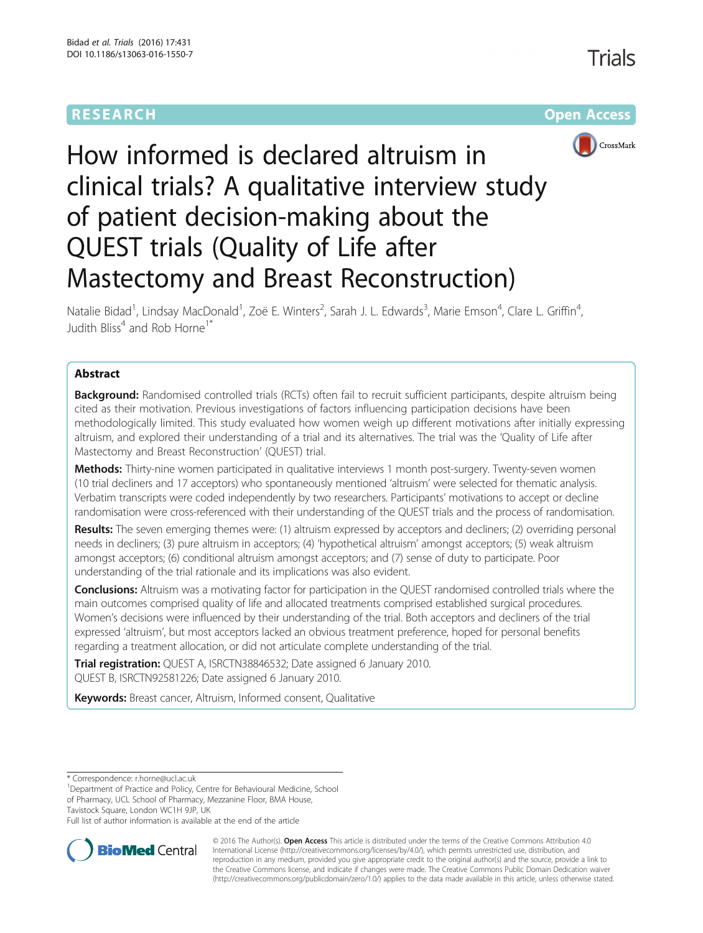## **RESEARCH CHE CHE Open Access**



# How informed is declared altruism in clinical trials? A qualitative interview study of patient decision-making about the QUEST trials (Quality of Life after Mastectomy and Breast Reconstruction)

Natalie Bidad<sup>1</sup>, Lindsay MacDonald<sup>1</sup>, Zoë E. Winters<sup>2</sup>, Sarah J. L. Edwards<sup>3</sup>, Marie Emson<sup>4</sup>, Clare L. Griffin<sup>4</sup> , Judith Bliss<sup>4</sup> and Rob Horne<sup>1\*</sup>

## Abstract

Background: Randomised controlled trials (RCTs) often fail to recruit sufficient participants, despite altruism being cited as their motivation. Previous investigations of factors influencing participation decisions have been methodologically limited. This study evaluated how women weigh up different motivations after initially expressing altruism, and explored their understanding of a trial and its alternatives. The trial was the 'Quality of Life after Mastectomy and Breast Reconstruction' (QUEST) trial.

Methods: Thirty-nine women participated in qualitative interviews 1 month post-surgery. Twenty-seven women (10 trial decliners and 17 acceptors) who spontaneously mentioned 'altruism' were selected for thematic analysis. Verbatim transcripts were coded independently by two researchers. Participants' motivations to accept or decline randomisation were cross-referenced with their understanding of the QUEST trials and the process of randomisation.

Results: The seven emerging themes were: (1) altruism expressed by acceptors and decliners; (2) overriding personal needs in decliners; (3) pure altruism in acceptors; (4) 'hypothetical altruism' amongst acceptors; (5) weak altruism amongst acceptors; (6) conditional altruism amongst acceptors; and (7) sense of duty to participate. Poor understanding of the trial rationale and its implications was also evident.

**Conclusions:** Altruism was a motivating factor for participation in the QUEST randomised controlled trials where the main outcomes comprised quality of life and allocated treatments comprised established surgical procedures. Women's decisions were influenced by their understanding of the trial. Both acceptors and decliners of the trial expressed 'altruism', but most acceptors lacked an obvious treatment preference, hoped for personal benefits regarding a treatment allocation, or did not articulate complete understanding of the trial.

**Trial registration:** QUEST A, [ISRCTN38846532;](http://www.isrctn.com/ISRCTN38846532) Date assigned 6 January 2010. QUEST B, [ISRCTN92581226;](http://www.isrctn.com/ISRCTN92581226) Date assigned 6 January 2010.

Keywords: Breast cancer, Altruism, Informed consent, Qualitative

\* Correspondence: [r.horne@ucl.ac.uk](mailto:r.horne@ucl.ac.uk) <sup>1</sup>

<sup>1</sup>Department of Practice and Policy, Centre for Behavioural Medicine, School of Pharmacy, UCL School of Pharmacy, Mezzanine Floor, BMA House, Tavistock Square, London WC1H 9JP, UK

Full list of author information is available at the end of the article



© 2016 The Author(s). Open Access This article is distributed under the terms of the Creative Commons Attribution 4.0 International License [\(http://creativecommons.org/licenses/by/4.0/](http://creativecommons.org/licenses/by/4.0/)), which permits unrestricted use, distribution, and reproduction in any medium, provided you give appropriate credit to the original author(s) and the source, provide a link to the Creative Commons license, and indicate if changes were made. The Creative Commons Public Domain Dedication waiver [\(http://creativecommons.org/publicdomain/zero/1.0/](http://creativecommons.org/publicdomain/zero/1.0/)) applies to the data made available in this article, unless otherwise stated.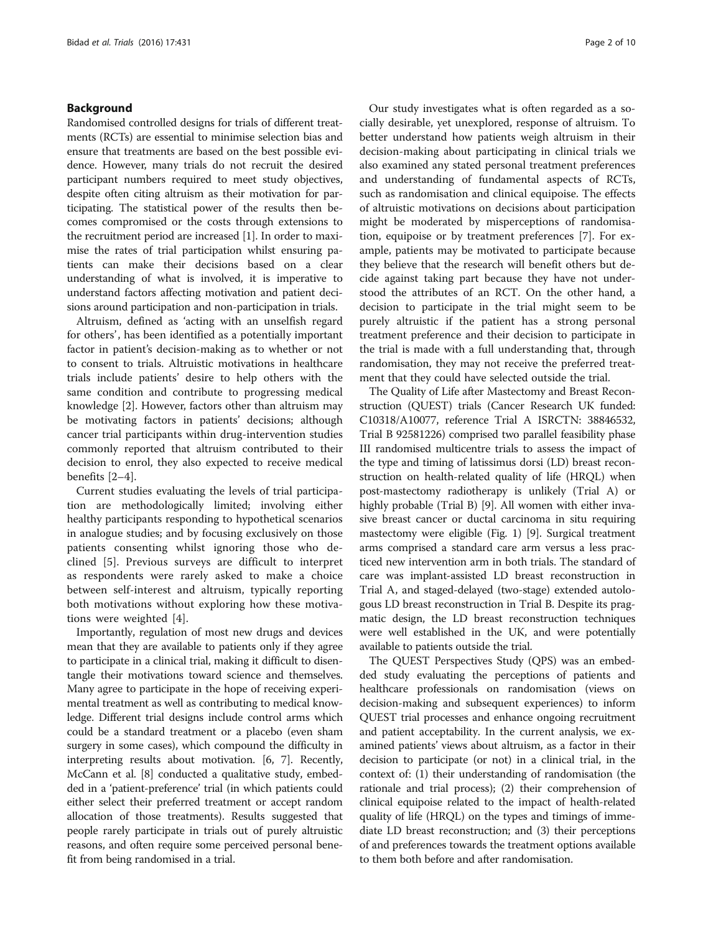## Background

Randomised controlled designs for trials of different treatments (RCTs) are essential to minimise selection bias and ensure that treatments are based on the best possible evidence. However, many trials do not recruit the desired participant numbers required to meet study objectives, despite often citing altruism as their motivation for participating. The statistical power of the results then becomes compromised or the costs through extensions to the recruitment period are increased [\[1](#page-8-0)]. In order to maximise the rates of trial participation whilst ensuring patients can make their decisions based on a clear understanding of what is involved, it is imperative to understand factors affecting motivation and patient decisions around participation and non-participation in trials.

Altruism, defined as 'acting with an unselfish regard for others', has been identified as a potentially important factor in patient's decision-making as to whether or not to consent to trials. Altruistic motivations in healthcare trials include patients' desire to help others with the same condition and contribute to progressing medical knowledge [\[2](#page-9-0)]. However, factors other than altruism may be motivating factors in patients' decisions; although cancer trial participants within drug-intervention studies commonly reported that altruism contributed to their decision to enrol, they also expected to receive medical benefits [[2](#page-9-0)–[4](#page-9-0)].

Current studies evaluating the levels of trial participation are methodologically limited; involving either healthy participants responding to hypothetical scenarios in analogue studies; and by focusing exclusively on those patients consenting whilst ignoring those who declined [[5\]](#page-9-0). Previous surveys are difficult to interpret as respondents were rarely asked to make a choice between self-interest and altruism, typically reporting both motivations without exploring how these motivations were weighted [\[4](#page-9-0)].

Importantly, regulation of most new drugs and devices mean that they are available to patients only if they agree to participate in a clinical trial, making it difficult to disentangle their motivations toward science and themselves. Many agree to participate in the hope of receiving experimental treatment as well as contributing to medical knowledge. Different trial designs include control arms which could be a standard treatment or a placebo (even sham surgery in some cases), which compound the difficulty in interpreting results about motivation. [\[6](#page-9-0), [7](#page-9-0)]. Recently, McCann et al. [\[8](#page-9-0)] conducted a qualitative study, embedded in a 'patient-preference' trial (in which patients could either select their preferred treatment or accept random allocation of those treatments). Results suggested that people rarely participate in trials out of purely altruistic reasons, and often require some perceived personal benefit from being randomised in a trial.

Our study investigates what is often regarded as a socially desirable, yet unexplored, response of altruism. To better understand how patients weigh altruism in their decision-making about participating in clinical trials we also examined any stated personal treatment preferences and understanding of fundamental aspects of RCTs, such as randomisation and clinical equipoise. The effects of altruistic motivations on decisions about participation might be moderated by misperceptions of randomisation, equipoise or by treatment preferences [[7\]](#page-9-0). For example, patients may be motivated to participate because they believe that the research will benefit others but decide against taking part because they have not understood the attributes of an RCT. On the other hand, a decision to participate in the trial might seem to be purely altruistic if the patient has a strong personal treatment preference and their decision to participate in the trial is made with a full understanding that, through randomisation, they may not receive the preferred treatment that they could have selected outside the trial.

The Quality of Life after Mastectomy and Breast Reconstruction (QUEST) trials (Cancer Research UK funded: C10318/A10077, reference Trial A ISRCTN: 38846532, Trial B 92581226) comprised two parallel feasibility phase III randomised multicentre trials to assess the impact of the type and timing of latissimus dorsi (LD) breast reconstruction on health-related quality of life (HRQL) when post-mastectomy radiotherapy is unlikely (Trial A) or highly probable (Trial B) [\[9\]](#page-9-0). All women with either invasive breast cancer or ductal carcinoma in situ requiring mastectomy were eligible (Fig. [1\)](#page-2-0) [\[9](#page-9-0)]. Surgical treatment arms comprised a standard care arm versus a less practiced new intervention arm in both trials. The standard of care was implant-assisted LD breast reconstruction in Trial A, and staged-delayed (two-stage) extended autologous LD breast reconstruction in Trial B. Despite its pragmatic design, the LD breast reconstruction techniques were well established in the UK, and were potentially available to patients outside the trial.

The QUEST Perspectives Study (QPS) was an embedded study evaluating the perceptions of patients and healthcare professionals on randomisation (views on decision-making and subsequent experiences) to inform QUEST trial processes and enhance ongoing recruitment and patient acceptability. In the current analysis, we examined patients' views about altruism, as a factor in their decision to participate (or not) in a clinical trial, in the context of: (1) their understanding of randomisation (the rationale and trial process); (2) their comprehension of clinical equipoise related to the impact of health-related quality of life (HRQL) on the types and timings of immediate LD breast reconstruction; and (3) their perceptions of and preferences towards the treatment options available to them both before and after randomisation.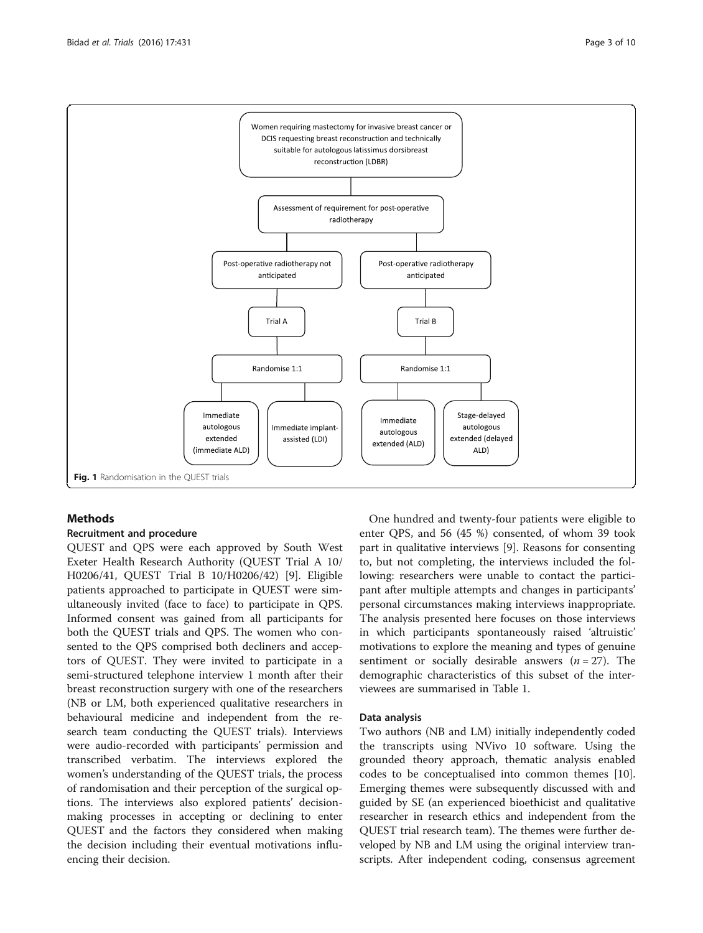<span id="page-2-0"></span>

## Methods

## Recruitment and procedure

QUEST and QPS were each approved by South West Exeter Health Research Authority (QUEST Trial A 10/ H0206/41, QUEST Trial B 10/H0206/42) [[9\]](#page-9-0). Eligible patients approached to participate in QUEST were simultaneously invited (face to face) to participate in QPS. Informed consent was gained from all participants for both the QUEST trials and QPS. The women who consented to the QPS comprised both decliners and acceptors of QUEST. They were invited to participate in a semi-structured telephone interview 1 month after their breast reconstruction surgery with one of the researchers (NB or LM, both experienced qualitative researchers in behavioural medicine and independent from the research team conducting the QUEST trials). Interviews were audio-recorded with participants' permission and transcribed verbatim. The interviews explored the women's understanding of the QUEST trials, the process of randomisation and their perception of the surgical options. The interviews also explored patients' decisionmaking processes in accepting or declining to enter QUEST and the factors they considered when making the decision including their eventual motivations influencing their decision.

One hundred and twenty-four patients were eligible to enter QPS, and 56 (45 %) consented, of whom 39 took part in qualitative interviews [\[9](#page-9-0)]. Reasons for consenting to, but not completing, the interviews included the following: researchers were unable to contact the participant after multiple attempts and changes in participants' personal circumstances making interviews inappropriate. The analysis presented here focuses on those interviews in which participants spontaneously raised 'altruistic' motivations to explore the meaning and types of genuine sentiment or socially desirable answers  $(n = 27)$ . The demographic characteristics of this subset of the interviewees are summarised in Table [1](#page-3-0).

## Data analysis

Two authors (NB and LM) initially independently coded the transcripts using NVivo 10 software. Using the grounded theory approach, thematic analysis enabled codes to be conceptualised into common themes [\[10](#page-9-0)]. Emerging themes were subsequently discussed with and guided by SE (an experienced bioethicist and qualitative researcher in research ethics and independent from the QUEST trial research team). The themes were further developed by NB and LM using the original interview transcripts. After independent coding, consensus agreement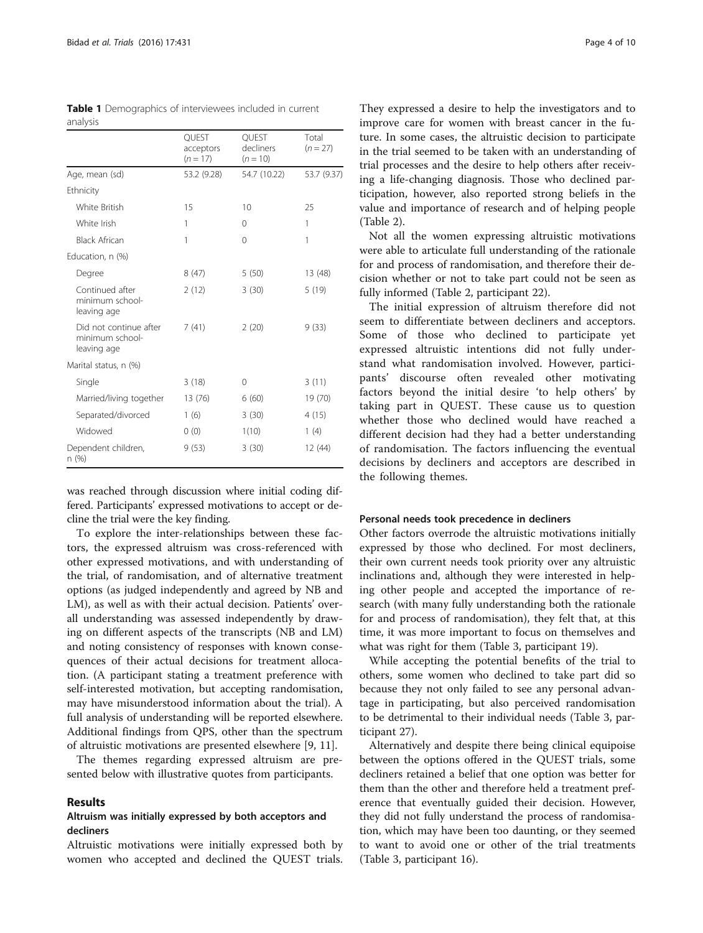| anarysis                                                 |                                  |                                  |                     |
|----------------------------------------------------------|----------------------------------|----------------------------------|---------------------|
|                                                          | QUEST<br>acceptors<br>$(n = 17)$ | QUEST<br>decliners<br>$(n = 10)$ | Total<br>$(n = 27)$ |
| Age, mean (sd)                                           | 53.2 (9.28)                      | 54.7 (10.22)                     | 53.7 (9.37)         |
| Ethnicity                                                |                                  |                                  |                     |
| White British                                            | 15                               | 10                               | 25                  |
| White Irish                                              | 1                                | $\Omega$                         | 1                   |
| <b>Black African</b>                                     | 1                                | $\Omega$                         | 1                   |
| Education, n (%)                                         |                                  |                                  |                     |
| Degree                                                   | 8(47)                            | 5(50)                            | 13 (48)             |
| Continued after<br>minimum school-<br>leaving age        | 2(12)                            | 3(30)                            | 5(19)               |
| Did not continue after<br>minimum school-<br>leaving age | 7(41)                            | 2(20)                            | 9(33)               |
| Marital status, n (%)                                    |                                  |                                  |                     |
| Single                                                   | 3(18)                            | 0                                | 3(11)               |
| Married/living together                                  | 13 (76)                          | 6(60)                            | 19 (70)             |
| Separated/divorced                                       | 1(6)                             | 3(30)                            | 4(15)               |
| Widowed                                                  | 0(0)                             | 1(10)                            | 1(4)                |
| Dependent children,<br>n (%)                             | 9(53)                            | 3(30)                            | 12 (44)             |

<span id="page-3-0"></span>Table 1 Demographics of interviewees included in current analysis

was reached through discussion where initial coding differed. Participants' expressed motivations to accept or decline the trial were the key finding.

To explore the inter-relationships between these factors, the expressed altruism was cross-referenced with other expressed motivations, and with understanding of the trial, of randomisation, and of alternative treatment options (as judged independently and agreed by NB and LM), as well as with their actual decision. Patients' overall understanding was assessed independently by drawing on different aspects of the transcripts (NB and LM) and noting consistency of responses with known consequences of their actual decisions for treatment allocation. (A participant stating a treatment preference with self-interested motivation, but accepting randomisation, may have misunderstood information about the trial). A full analysis of understanding will be reported elsewhere. Additional findings from QPS, other than the spectrum of altruistic motivations are presented elsewhere [[9, 11\]](#page-9-0).

The themes regarding expressed altruism are presented below with illustrative quotes from participants.

## Results

## Altruism was initially expressed by both acceptors and decliners

Altruistic motivations were initially expressed both by women who accepted and declined the QUEST trials.

They expressed a desire to help the investigators and to improve care for women with breast cancer in the future. In some cases, the altruistic decision to participate in the trial seemed to be taken with an understanding of trial processes and the desire to help others after receiving a life-changing diagnosis. Those who declined participation, however, also reported strong beliefs in the value and importance of research and of helping people (Table [2\)](#page-4-0).

Not all the women expressing altruistic motivations were able to articulate full understanding of the rationale for and process of randomisation, and therefore their decision whether or not to take part could not be seen as fully informed (Table [2,](#page-4-0) participant 22).

The initial expression of altruism therefore did not seem to differentiate between decliners and acceptors. Some of those who declined to participate yet expressed altruistic intentions did not fully understand what randomisation involved. However, participants' discourse often revealed other motivating factors beyond the initial desire 'to help others' by taking part in QUEST. These cause us to question whether those who declined would have reached a different decision had they had a better understanding of randomisation. The factors influencing the eventual decisions by decliners and acceptors are described in the following themes.

#### Personal needs took precedence in decliners

Other factors overrode the altruistic motivations initially expressed by those who declined. For most decliners, their own current needs took priority over any altruistic inclinations and, although they were interested in helping other people and accepted the importance of research (with many fully understanding both the rationale for and process of randomisation), they felt that, at this time, it was more important to focus on themselves and what was right for them (Table [3,](#page-4-0) participant 19).

While accepting the potential benefits of the trial to others, some women who declined to take part did so because they not only failed to see any personal advantage in participating, but also perceived randomisation to be detrimental to their individual needs (Table [3,](#page-4-0) participant 27).

Alternatively and despite there being clinical equipoise between the options offered in the QUEST trials, some decliners retained a belief that one option was better for them than the other and therefore held a treatment preference that eventually guided their decision. However, they did not fully understand the process of randomisation, which may have been too daunting, or they seemed to want to avoid one or other of the trial treatments (Table [3,](#page-4-0) participant 16).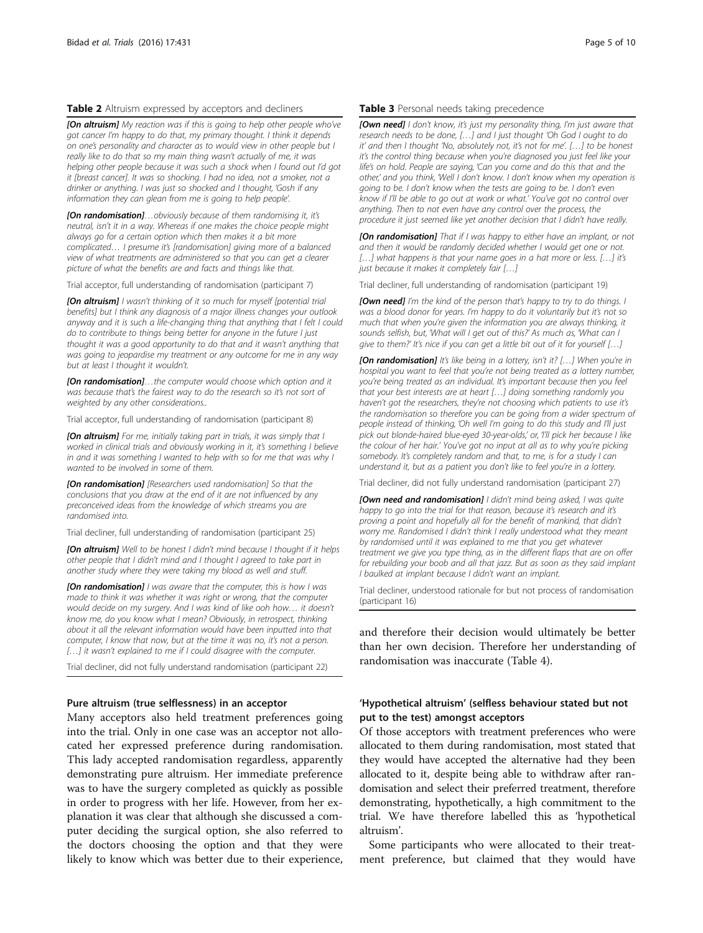## <span id="page-4-0"></span>Table 2 Altruism expressed by acceptors and decliners

**[On altruism]** My reaction was if this is going to help other people who've got cancer I'm happy to do that, my primary thought. I think it depends on one's personality and character as to would view in other people but I really like to do that so my main thing wasn't actually of me, it was helping other people because it was such a shock when I found out I'd got it [breast cancer]. It was so shocking. I had no idea, not a smoker, not a drinker or anything. I was just so shocked and I thought, 'Gosh if any information they can glean from me is going to help people'.

**[On randomisation]...**obviously because of them randomising it, it's neutral, isn't it in a way. Whereas if one makes the choice people might always go for a certain option which then makes it a bit more complicated… I presume it's [randomisation] giving more of a balanced view of what treatments are administered so that you can get a clearer picture of what the benefits are and facts and things like that.

Trial acceptor, full understanding of randomisation (participant 7)

[On altruism] I wasn't thinking of it so much for myself [potential trial benefits] but I think any diagnosis of a major illness changes your outlook anyway and it is such a life-changing thing that anything that I felt I could do to contribute to things being better for anyone in the future I just thought it was a good opportunity to do that and it wasn't anything that was going to jeopardise my treatment or any outcome for me in any way but at least I thought it wouldn't.

[On randomisation]...the computer would choose which option and it was because that's the fairest way to do the research so it's not sort of weighted by any other considerations..

Trial acceptor, full understanding of randomisation (participant 8)

[On altruism] For me, initially taking part in trials, it was simply that I worked in clinical trials and obviously working in it, it's something I believe in and it was something I wanted to help with so for me that was why I wanted to be involved in some of them.

[On randomisation] [Researchers used randomisation] So that the conclusions that you draw at the end of it are not influenced by any preconceived ideas from the knowledge of which streams you are randomised into.

Trial decliner, full understanding of randomisation (participant 25)

[On altruism] Well to be honest I didn't mind because I thought if it helps other people that I didn't mind and I thought I agreed to take part in another study where they were taking my blood as well and stuff.

[On randomisation] I was aware that the computer, this is how I was made to think it was whether it was right or wrong, that the computer would decide on my surgery. And I was kind of like ooh how… it doesn't know me, do you know what I mean? Obviously, in retrospect, thinking about it all the relevant information would have been inputted into that computer, I know that now, but at the time it was no, it's not a person. [...] it wasn't explained to me if I could disagree with the computer.

Trial decliner, did not fully understand randomisation (participant 22)

## Pure altruism (true selflessness) in an acceptor

Many acceptors also held treatment preferences going into the trial. Only in one case was an acceptor not allocated her expressed preference during randomisation. This lady accepted randomisation regardless, apparently demonstrating pure altruism. Her immediate preference was to have the surgery completed as quickly as possible in order to progress with her life. However, from her explanation it was clear that although she discussed a computer deciding the surgical option, she also referred to the doctors choosing the option and that they were likely to know which was better due to their experience,

#### Table 3 Personal needs taking precedence

**[Own need]** I don't know, it's just my personality thing, I'm just aware that research needs to be done, […] and I just thought 'Oh God I ought to do it' and then I thought 'No, absolutely not, it's not for me'. […] to be honest it's the control thing because when you're diagnosed you just feel like your life's on hold. People are saying, 'Can you come and do this that and the other,' and you think, 'Well I don't know. I don't know when my operation is going to be. I don't know when the tests are going to be. I don't even know if I'll be able to go out at work or what.' You've got no control over anything. Then to not even have any control over the process, the procedure it just seemed like yet another decision that I didn't have really.

[On randomisation] That if I was happy to either have an implant, or not and then it would be randomly decided whether I would get one or not. [...] what happens is that your name goes in a hat more or less. [...] it's just because it makes it completely fair […]

Trial decliner, full understanding of randomisation (participant 19)

[Own need] I'm the kind of the person that's happy to try to do things. I was a blood donor for years. I'm happy to do it voluntarily but it's not so much that when you're given the information you are always thinking, it sounds selfish, but, 'What will I get out of this?' As much as, 'What can I give to them?' It's nice if you can get a little bit out of it for yourself [...]

[On randomisation] It's like being in a lottery, isn't it? [...] When you're in hospital you want to feel that you're not being treated as a lottery number, you're being treated as an individual. It's important because then you feel that your best interests are at heart […] doing something randomly you haven't got the researchers, they're not choosing which patients to use it's the randomisation so therefore you can be going from a wider spectrum of people instead of thinking, 'Oh well I'm going to do this study and I'll just pick out blonde-haired blue-eyed 30-year-olds,' or, 'I'll pick her because I like the colour of her hair.' You've got no input at all as to why you're picking somebody. It's completely random and that, to me, is for a study I can understand it, but as a patient you don't like to feel you're in a lottery.

Trial decliner, did not fully understand randomisation (participant 27)

[Own need and randomisation] I didn't mind being asked, I was quite happy to go into the trial for that reason, because it's research and it's proving a point and hopefully all for the benefit of mankind, that didn't worry me. Randomised I didn't think I really understood what they meant by randomised until it was explained to me that you get whatever treatment we give you type thing, as in the different flaps that are on offer for rebuilding your boob and all that jazz. But as soon as they said implant I baulked at implant because I didn't want an implant.

Trial decliner, understood rationale for but not process of randomisation (participant 16)

and therefore their decision would ultimately be better than her own decision. Therefore her understanding of randomisation was inaccurate (Table [4](#page-5-0)).

## 'Hypothetical altruism' (selfless behaviour stated but not put to the test) amongst acceptors

Of those acceptors with treatment preferences who were allocated to them during randomisation, most stated that they would have accepted the alternative had they been allocated to it, despite being able to withdraw after randomisation and select their preferred treatment, therefore demonstrating, hypothetically, a high commitment to the trial. We have therefore labelled this as 'hypothetical altruism'.

Some participants who were allocated to their treatment preference, but claimed that they would have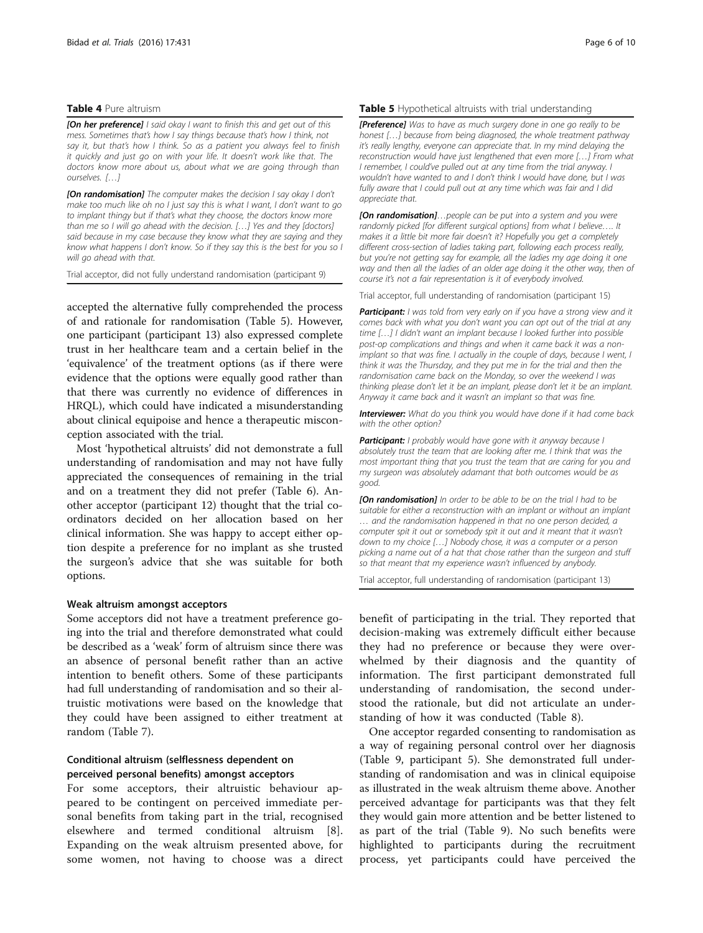#### <span id="page-5-0"></span>Table 4 Pure altruism

**[On her preference]** I said okay I want to finish this and get out of this mess. Sometimes that's how I say things because that's how I think, not say it, but that's how I think. So as a patient you always feel to finish it quickly and just go on with your life. It doesn't work like that. The doctors know more about us, about what we are going through than ourselves. […]

[On randomisation] The computer makes the decision I say okay I don't make too much like oh no I just say this is what I want, I don't want to go to implant thingy but if that's what they choose, the doctors know more than me so I will go ahead with the decision. […] Yes and they [doctors] said because in my case because they know what they are saying and they know what happens I don't know. So if they say this is the best for you so I will go ahead with that.

Trial acceptor, did not fully understand randomisation (participant 9)

accepted the alternative fully comprehended the process of and rationale for randomisation (Table 5). However, one participant (participant 13) also expressed complete trust in her healthcare team and a certain belief in the 'equivalence' of the treatment options (as if there were evidence that the options were equally good rather than that there was currently no evidence of differences in HRQL), which could have indicated a misunderstanding about clinical equipoise and hence a therapeutic misconception associated with the trial.

Most 'hypothetical altruists' did not demonstrate a full understanding of randomisation and may not have fully appreciated the consequences of remaining in the trial and on a treatment they did not prefer (Table [6\)](#page-6-0). Another acceptor (participant 12) thought that the trial coordinators decided on her allocation based on her clinical information. She was happy to accept either option despite a preference for no implant as she trusted the surgeon's advice that she was suitable for both options.

## Weak altruism amongst acceptors

Some acceptors did not have a treatment preference going into the trial and therefore demonstrated what could be described as a 'weak' form of altruism since there was an absence of personal benefit rather than an active intention to benefit others. Some of these participants had full understanding of randomisation and so their altruistic motivations were based on the knowledge that they could have been assigned to either treatment at random (Table [7\)](#page-6-0).

## Conditional altruism (selflessness dependent on perceived personal benefits) amongst acceptors

For some acceptors, their altruistic behaviour appeared to be contingent on perceived immediate personal benefits from taking part in the trial, recognised elsewhere and termed conditional altruism [\[8](#page-9-0)]. Expanding on the weak altruism presented above, for some women, not having to choose was a direct

#### Table 5 Hypothetical altruists with trial understanding

**[Preference]** Was to have as much surgery done in one go really to be honest […] because from being diagnosed, the whole treatment pathway it's really lengthy, everyone can appreciate that. In my mind delaying the reconstruction would have just lengthened that even more […] From what I remember, I could've pulled out at any time from the trial anyway. I wouldn't have wanted to and I don't think I would have done, but I was fully aware that I could pull out at any time which was fair and I did appreciate that.

[On randomisation]...people can be put into a system and you were randomly picked [for different surgical options] from what I believe…. It makes it a little bit more fair doesn't it? Hopefully you get a completely different cross-section of ladies taking part, following each process really, but you're not getting say for example, all the ladies my age doing it one way and then all the ladies of an older age doing it the other way, then of course it's not a fair representation is it of everybody involved.

Trial acceptor, full understanding of randomisation (participant 15)

Participant: I was told from very early on if you have a strong view and it comes back with what you don't want you can opt out of the trial at any time […] I didn't want an implant because I looked further into possible post-op complications and things and when it came back it was a nonimplant so that was fine. I actually in the couple of days, because I went, I think it was the Thursday, and they put me in for the trial and then the randomisation came back on the Monday, so over the weekend I was thinking please don't let it be an implant, please don't let it be an implant. Anyway it came back and it wasn't an implant so that was fine.

**Interviewer:** What do you think you would have done if it had come back with the other option?

Participant: I probably would have gone with it anyway because I absolutely trust the team that are looking after me. I think that was the most important thing that you trust the team that are caring for you and my surgeon was absolutely adamant that both outcomes would be as good.

[On randomisation] In order to be able to be on the trial I had to be suitable for either a reconstruction with an implant or without an implant … and the randomisation happened in that no one person decided, a computer spit it out or somebody spit it out and it meant that it wasn't down to my choice […] Nobody chose, it was a computer or a person picking a name out of a hat that chose rather than the surgeon and stuff so that meant that my experience wasn't influenced by anybody.

Trial acceptor, full understanding of randomisation (participant 13)

benefit of participating in the trial. They reported that decision-making was extremely difficult either because they had no preference or because they were overwhelmed by their diagnosis and the quantity of information. The first participant demonstrated full understanding of randomisation, the second understood the rationale, but did not articulate an understanding of how it was conducted (Table [8](#page-6-0)).

One acceptor regarded consenting to randomisation as a way of regaining personal control over her diagnosis (Table [9](#page-6-0), participant 5). She demonstrated full understanding of randomisation and was in clinical equipoise as illustrated in the weak altruism theme above. Another perceived advantage for participants was that they felt they would gain more attention and be better listened to as part of the trial (Table [9](#page-6-0)). No such benefits were highlighted to participants during the recruitment process, yet participants could have perceived the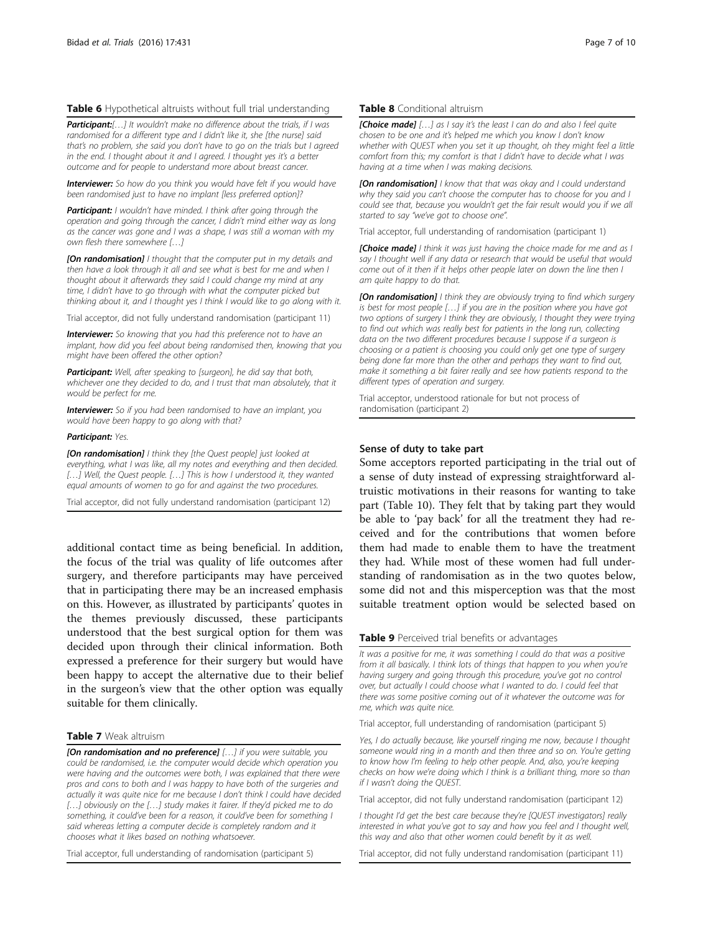## <span id="page-6-0"></span>Table 6 Hypothetical altruists without full trial understanding

**Participant:**[...] It wouldn't make no difference about the trials, if I was randomised for a different type and I didn't like it, she [the nurse] said that's no problem, she said you don't have to go on the trials but I agreed in the end. I thought about it and I agreed. I thought yes it's a better outcome and for people to understand more about breast cancer.

**Interviewer:** So how do you think you would have felt if you would have been randomised just to have no implant [less preferred option]?

Participant: I wouldn't have minded. I think after going through the operation and going through the cancer, I didn't mind either way as long as the cancer was gone and I was a shape, I was still a woman with my own flesh there somewhere […]

**[On randomisation]** I thought that the computer put in my details and then have a look through it all and see what is best for me and when I thought about it afterwards they said I could change my mind at any time, I didn't have to go through with what the computer picked but thinking about it, and I thought yes I think I would like to go along with it.

Trial acceptor, did not fully understand randomisation (participant 11)

**Interviewer:** So knowing that you had this preference not to have an implant, how did you feel about being randomised then, knowing that you might have been offered the other option?

Participant: Well, after speaking to [surgeon], he did say that both, whichever one they decided to do, and I trust that man absolutely, that it would be perfect for me.

**Interviewer:** So if you had been randomised to have an implant, you would have been happy to go along with that?

#### Participant: Yes.

[On randomisation] I think they [the Quest people] just looked at everything, what I was like, all my notes and everything and then decided. [...] Well, the Quest people. [...] This is how I understood it, they wanted equal amounts of women to go for and against the two procedures.

Trial acceptor, did not fully understand randomisation (participant 12)

additional contact time as being beneficial. In addition, the focus of the trial was quality of life outcomes after surgery, and therefore participants may have perceived that in participating there may be an increased emphasis on this. However, as illustrated by participants' quotes in the themes previously discussed, these participants understood that the best surgical option for them was decided upon through their clinical information. Both expressed a preference for their surgery but would have been happy to accept the alternative due to their belief in the surgeon's view that the other option was equally suitable for them clinically.

## Table 7 Weak altruism

[On randomisation and no preference] [...] if you were suitable, you could be randomised, i.e. the computer would decide which operation you were having and the outcomes were both, I was explained that there were pros and cons to both and I was happy to have both of the surgeries and actually it was quite nice for me because I don't think I could have decided [...] obviously on the [...] study makes it fairer. If they'd picked me to do something, it could've been for a reason, it could've been for something I said whereas letting a computer decide is completely random and it chooses what it likes based on nothing whatsoever.

Trial acceptor, full understanding of randomisation (participant 5)

#### Table 8 Conditional altruism

**[Choice made]** [...] as I say it's the least I can do and also I feel quite chosen to be one and it's helped me which you know I don't know whether with QUEST when you set it up thought, oh they might feel a little comfort from this; my comfort is that I didn't have to decide what I was having at a time when I was making decisions.

**[On randomisation]** I know that that was okay and I could understand why they said you can't choose the computer has to choose for you and I could see that, because you wouldn't get the fair result would you if we all started to say "we've got to choose one".

Trial acceptor, full understanding of randomisation (participant 1)

[Choice made] I think it was just having the choice made for me and as I say I thought well if any data or research that would be useful that would come out of it then if it helps other people later on down the line then I am quite happy to do that.

[On randomisation] I think they are obviously trying to find which surgery is best for most people […] if you are in the position where you have got two options of surgery I think they are obviously, I thought they were trying to find out which was really best for patients in the long run, collecting data on the two different procedures because I suppose if a surgeon is choosing or a patient is choosing you could only get one type of surgery being done far more than the other and perhaps they want to find out, make it something a bit fairer really and see how patients respond to the different types of operation and surgery.

Trial acceptor, understood rationale for but not process of randomisation (participant 2)

## Sense of duty to take part

Some acceptors reported participating in the trial out of a sense of duty instead of expressing straightforward altruistic motivations in their reasons for wanting to take part (Table [10](#page-7-0)). They felt that by taking part they would be able to 'pay back' for all the treatment they had received and for the contributions that women before them had made to enable them to have the treatment they had. While most of these women had full understanding of randomisation as in the two quotes below, some did not and this misperception was that the most suitable treatment option would be selected based on

#### Table 9 Perceived trial benefits or advantages

It was a positive for me, it was something I could do that was a positive from it all basically. I think lots of things that happen to you when you're having surgery and going through this procedure, you've got no control over, but actually I could choose what I wanted to do. I could feel that there was some positive coming out of it whatever the outcome was for me, which was quite nice.

Trial acceptor, full understanding of randomisation (participant 5)

Yes, I do actually because, like yourself ringing me now, because I thought someone would ring in a month and then three and so on. You're getting to know how I'm feeling to help other people. And, also, you're keeping checks on how we're doing which I think is a brilliant thing, more so than if I wasn't doing the QUEST.

Trial acceptor, did not fully understand randomisation (participant 12)

I thought I'd get the best care because they're [QUEST investigators] really interested in what you've got to say and how you feel and I thought well, this way and also that other women could benefit by it as well.

Trial acceptor, did not fully understand randomisation (participant 11)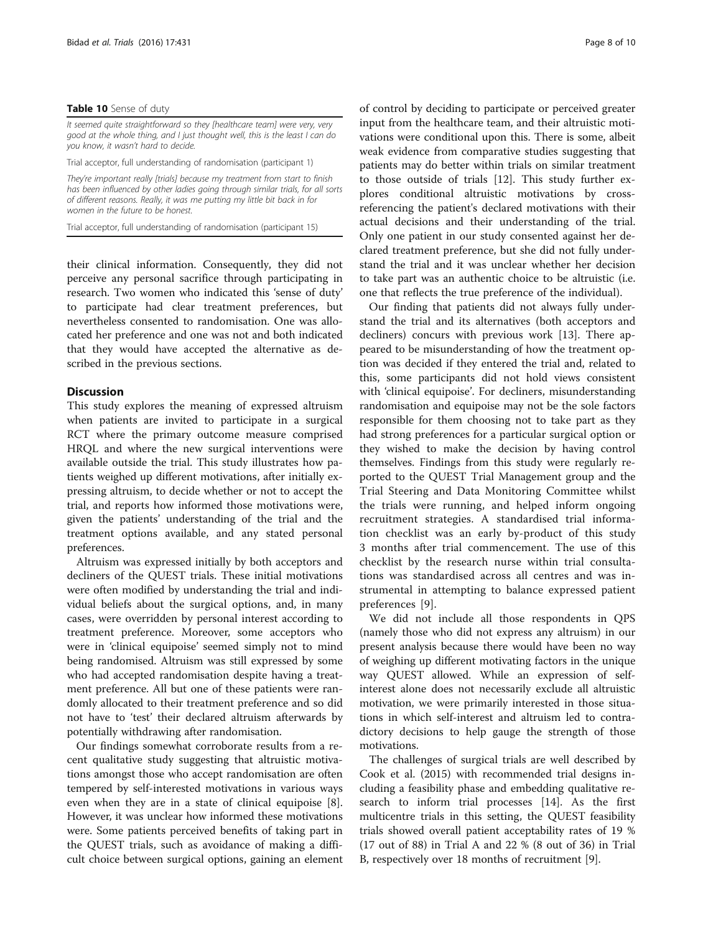#### <span id="page-7-0"></span>Table 10 Sense of duty

It seemed quite straightforward so they [healthcare team] were very, very good at the whole thing, and I just thought well, this is the least I can do you know, it wasn't hard to decide.

Trial acceptor, full understanding of randomisation (participant 1)

They're important really [trials] because my treatment from start to finish has been influenced by other ladies going through similar trials, for all sorts of different reasons. Really, it was me putting my little bit back in for women in the future to be honest.

Trial acceptor, full understanding of randomisation (participant 15)

their clinical information. Consequently, they did not perceive any personal sacrifice through participating in research. Two women who indicated this 'sense of duty' to participate had clear treatment preferences, but nevertheless consented to randomisation. One was allocated her preference and one was not and both indicated that they would have accepted the alternative as described in the previous sections.

## **Discussion**

This study explores the meaning of expressed altruism when patients are invited to participate in a surgical RCT where the primary outcome measure comprised HRQL and where the new surgical interventions were available outside the trial. This study illustrates how patients weighed up different motivations, after initially expressing altruism, to decide whether or not to accept the trial, and reports how informed those motivations were, given the patients' understanding of the trial and the treatment options available, and any stated personal preferences.

Altruism was expressed initially by both acceptors and decliners of the QUEST trials. These initial motivations were often modified by understanding the trial and individual beliefs about the surgical options, and, in many cases, were overridden by personal interest according to treatment preference. Moreover, some acceptors who were in 'clinical equipoise' seemed simply not to mind being randomised. Altruism was still expressed by some who had accepted randomisation despite having a treatment preference. All but one of these patients were randomly allocated to their treatment preference and so did not have to 'test' their declared altruism afterwards by potentially withdrawing after randomisation.

Our findings somewhat corroborate results from a recent qualitative study suggesting that altruistic motivations amongst those who accept randomisation are often tempered by self-interested motivations in various ways even when they are in a state of clinical equipoise [\[8](#page-9-0)]. However, it was unclear how informed these motivations were. Some patients perceived benefits of taking part in the QUEST trials, such as avoidance of making a difficult choice between surgical options, gaining an element of control by deciding to participate or perceived greater input from the healthcare team, and their altruistic motivations were conditional upon this. There is some, albeit weak evidence from comparative studies suggesting that patients may do better within trials on similar treatment to those outside of trials [[12](#page-9-0)]. This study further explores conditional altruistic motivations by crossreferencing the patient's declared motivations with their actual decisions and their understanding of the trial. Only one patient in our study consented against her declared treatment preference, but she did not fully understand the trial and it was unclear whether her decision to take part was an authentic choice to be altruistic (i.e. one that reflects the true preference of the individual).

Our finding that patients did not always fully understand the trial and its alternatives (both acceptors and decliners) concurs with previous work [[13](#page-9-0)]. There appeared to be misunderstanding of how the treatment option was decided if they entered the trial and, related to this, some participants did not hold views consistent with 'clinical equipoise'. For decliners, misunderstanding randomisation and equipoise may not be the sole factors responsible for them choosing not to take part as they had strong preferences for a particular surgical option or they wished to make the decision by having control themselves. Findings from this study were regularly reported to the QUEST Trial Management group and the Trial Steering and Data Monitoring Committee whilst the trials were running, and helped inform ongoing recruitment strategies. A standardised trial information checklist was an early by-product of this study 3 months after trial commencement. The use of this checklist by the research nurse within trial consultations was standardised across all centres and was instrumental in attempting to balance expressed patient preferences [[9\]](#page-9-0).

We did not include all those respondents in QPS (namely those who did not express any altruism) in our present analysis because there would have been no way of weighing up different motivating factors in the unique way QUEST allowed. While an expression of selfinterest alone does not necessarily exclude all altruistic motivation, we were primarily interested in those situations in which self-interest and altruism led to contradictory decisions to help gauge the strength of those motivations.

The challenges of surgical trials are well described by Cook et al. (2015) with recommended trial designs including a feasibility phase and embedding qualitative research to inform trial processes [[14](#page-9-0)]. As the first multicentre trials in this setting, the QUEST feasibility trials showed overall patient acceptability rates of 19 % (17 out of 88) in Trial A and 22 % (8 out of 36) in Trial B, respectively over 18 months of recruitment [[9\]](#page-9-0).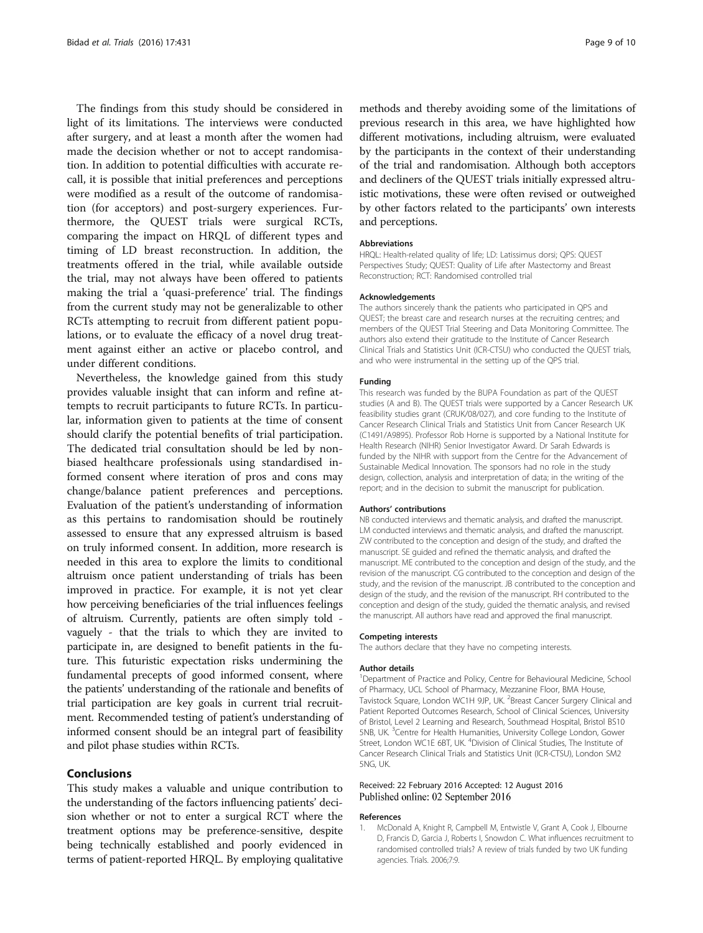<span id="page-8-0"></span>The findings from this study should be considered in light of its limitations. The interviews were conducted after surgery, and at least a month after the women had made the decision whether or not to accept randomisation. In addition to potential difficulties with accurate recall, it is possible that initial preferences and perceptions were modified as a result of the outcome of randomisation (for acceptors) and post-surgery experiences. Furthermore, the QUEST trials were surgical RCTs, comparing the impact on HRQL of different types and timing of LD breast reconstruction. In addition, the treatments offered in the trial, while available outside the trial, may not always have been offered to patients making the trial a 'quasi-preference' trial. The findings from the current study may not be generalizable to other RCTs attempting to recruit from different patient populations, or to evaluate the efficacy of a novel drug treatment against either an active or placebo control, and under different conditions.

Nevertheless, the knowledge gained from this study provides valuable insight that can inform and refine attempts to recruit participants to future RCTs. In particular, information given to patients at the time of consent should clarify the potential benefits of trial participation. The dedicated trial consultation should be led by nonbiased healthcare professionals using standardised informed consent where iteration of pros and cons may change/balance patient preferences and perceptions. Evaluation of the patient's understanding of information as this pertains to randomisation should be routinely assessed to ensure that any expressed altruism is based on truly informed consent. In addition, more research is needed in this area to explore the limits to conditional altruism once patient understanding of trials has been improved in practice. For example, it is not yet clear how perceiving beneficiaries of the trial influences feelings of altruism. Currently, patients are often simply told vaguely - that the trials to which they are invited to participate in, are designed to benefit patients in the future. This futuristic expectation risks undermining the fundamental precepts of good informed consent, where the patients' understanding of the rationale and benefits of trial participation are key goals in current trial recruitment. Recommended testing of patient's understanding of informed consent should be an integral part of feasibility and pilot phase studies within RCTs.

## Conclusions

This study makes a valuable and unique contribution to the understanding of the factors influencing patients' decision whether or not to enter a surgical RCT where the treatment options may be preference-sensitive, despite being technically established and poorly evidenced in terms of patient-reported HRQL. By employing qualitative methods and thereby avoiding some of the limitations of previous research in this area, we have highlighted how different motivations, including altruism, were evaluated by the participants in the context of their understanding of the trial and randomisation. Although both acceptors and decliners of the QUEST trials initially expressed altruistic motivations, these were often revised or outweighed by other factors related to the participants' own interests and perceptions.

#### **Abbreviations**

HRQL: Health-related quality of life; LD: Latissimus dorsi; QPS: QUEST Perspectives Study; QUEST: Quality of Life after Mastectomy and Breast Reconstruction; RCT: Randomised controlled trial

#### Acknowledgements

The authors sincerely thank the patients who participated in QPS and QUEST; the breast care and research nurses at the recruiting centres; and members of the QUEST Trial Steering and Data Monitoring Committee. The authors also extend their gratitude to the Institute of Cancer Research Clinical Trials and Statistics Unit (ICR-CTSU) who conducted the QUEST trials, and who were instrumental in the setting up of the QPS trial.

#### Funding

This research was funded by the BUPA Foundation as part of the QUEST studies (A and B). The QUEST trials were supported by a Cancer Research UK feasibility studies grant (CRUK/08/027), and core funding to the Institute of Cancer Research Clinical Trials and Statistics Unit from Cancer Research UK (C1491/A9895). Professor Rob Horne is supported by a National Institute for Health Research (NIHR) Senior Investigator Award. Dr Sarah Edwards is funded by the NIHR with support from the Centre for the Advancement of Sustainable Medical Innovation. The sponsors had no role in the study design, collection, analysis and interpretation of data; in the writing of the report; and in the decision to submit the manuscript for publication.

#### Authors' contributions

NB conducted interviews and thematic analysis, and drafted the manuscript. LM conducted interviews and thematic analysis, and drafted the manuscript. ZW contributed to the conception and design of the study, and drafted the manuscript. SE guided and refined the thematic analysis, and drafted the manuscript. ME contributed to the conception and design of the study, and the revision of the manuscript. CG contributed to the conception and design of the study, and the revision of the manuscript. JB contributed to the conception and design of the study, and the revision of the manuscript. RH contributed to the conception and design of the study, guided the thematic analysis, and revised the manuscript. All authors have read and approved the final manuscript.

#### Competing interests

The authors declare that they have no competing interests.

#### Author details

<sup>1</sup>Department of Practice and Policy, Centre for Behavioural Medicine, School of Pharmacy, UCL School of Pharmacy, Mezzanine Floor, BMA House, Tavistock Square, London WC1H 9JP, UK. <sup>2</sup>Breast Cancer Surgery Clinical and Patient Reported Outcomes Research, School of Clinical Sciences, University of Bristol, Level 2 Learning and Research, Southmead Hospital, Bristol BS10 5NB, UK. <sup>3</sup>Centre for Health Humanities, University College London, Gower Street, London WC1E 6BT, UK. <sup>4</sup>Division of Clinical Studies, The Institute of Cancer Research Clinical Trials and Statistics Unit (ICR-CTSU), London SM2 5NG, UK.

#### Received: 22 February 2016 Accepted: 12 August 2016 Published online: 02 September 2016

#### References

1. McDonald A, Knight R, Campbell M, Entwistle V, Grant A, Cook J, Elbourne D, Francis D, Garcia J, Roberts I, Snowdon C. What influences recruitment to randomised controlled trials? A review of trials funded by two UK funding agencies. Trials. 2006;7:9.